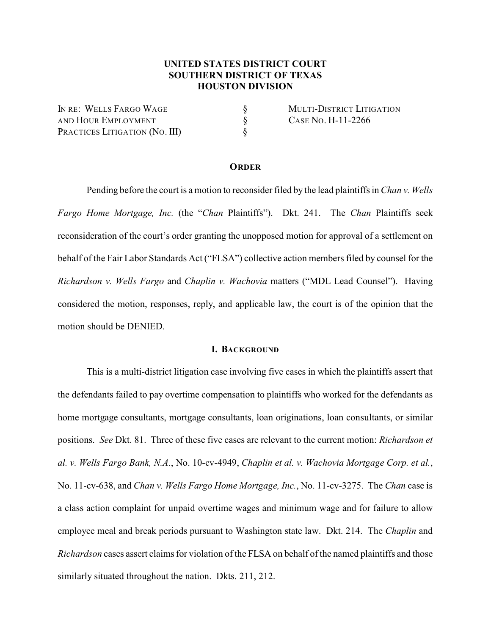# **UNITED STATES DISTRICT COURT SOUTHERN DISTRICT OF TEXAS HOUSTON DIVISION**

IN RE: WELLS FARGO WAGE  $\S$  MULTI-DISTRICT LITIGATION AND HOUR EMPLOYMENT  $\S$  CASE NO. H-11-2266 PRACTICES LITIGATION (NO. III)  $\S$ 

#### **ORDER**

Pending before the court is a motion to reconsider filed by the lead plaintiffs in *Chan v. Wells Fargo Home Mortgage, Inc.* (the "*Chan* Plaintiffs"). Dkt. 241. The *Chan* Plaintiffs seek reconsideration of the court's order granting the unopposed motion for approval of a settlement on behalf of the Fair Labor Standards Act ("FLSA") collective action members filed by counsel for the *Richardson v. Wells Fargo* and *Chaplin v. Wachovia* matters ("MDL Lead Counsel"). Having considered the motion, responses, reply, and applicable law, the court is of the opinion that the motion should be DENIED.

#### **I. BACKGROUND**

This is a multi-district litigation case involving five cases in which the plaintiffs assert that the defendants failed to pay overtime compensation to plaintiffs who worked for the defendants as home mortgage consultants, mortgage consultants, loan originations, loan consultants, or similar positions. *See* Dkt. 81. Three of these five cases are relevant to the current motion: *Richardson et al. v. Wells Fargo Bank, N.A.*, No. 10-cv-4949, *Chaplin et al. v. Wachovia Mortgage Corp. et al.*, No. 11-cv-638, and *Chan v. Wells Fargo Home Mortgage, Inc.*, No. 11-cv-3275. The *Chan* case is a class action complaint for unpaid overtime wages and minimum wage and for failure to allow employee meal and break periods pursuant to Washington state law. Dkt. 214. The *Chaplin* and *Richardson* cases assert claims for violation of the FLSA on behalf of the named plaintiffs and those similarly situated throughout the nation. Dkts. 211, 212.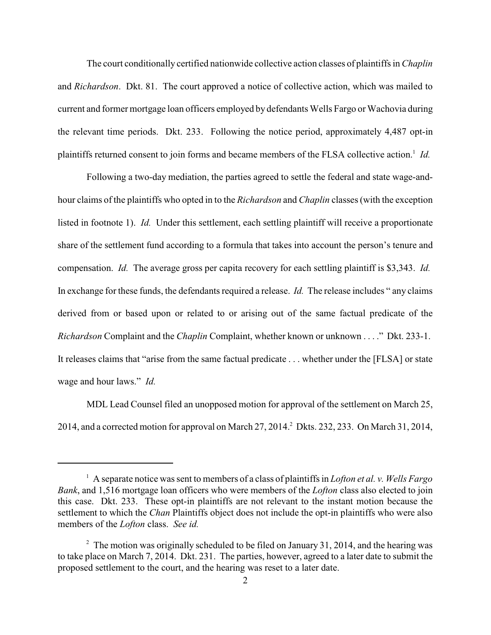The court conditionally certified nationwide collective action classes of plaintiffs in *Chaplin* and *Richardson*. Dkt. 81. The court approved a notice of collective action, which was mailed to current and former mortgage loan officers employed by defendants Wells Fargo or Wachovia during the relevant time periods. Dkt. 233. Following the notice period, approximately 4,487 opt-in plaintiffs returned consent to join forms and became members of the FLSA collective action.<sup>1</sup> Id.

Following a two-day mediation, the parties agreed to settle the federal and state wage-andhour claims of the plaintiffs who opted in to the *Richardson* and *Chaplin* classes (with the exception listed in footnote 1). *Id.* Under this settlement, each settling plaintiff will receive a proportionate share of the settlement fund according to a formula that takes into account the person's tenure and compensation. *Id.* The average gross per capita recovery for each settling plaintiff is \$3,343. *Id.* In exchange for these funds, the defendants required a release. *Id.* The release includes " any claims derived from or based upon or related to or arising out of the same factual predicate of the *Richardson* Complaint and the *Chaplin* Complaint, whether known or unknown . . . ." Dkt. 233-1. It releases claims that "arise from the same factual predicate . . . whether under the [FLSA] or state wage and hour laws." *Id.*

MDL Lead Counsel filed an unopposed motion for approval of the settlement on March 25, 2014, and a corrected motion for approval on March 27, 2014.<sup>2</sup> Dkts. 232, 233. On March 31, 2014,

A separate notice was sent to members of a class of plaintiffs in *Lofton et al. v. Wells Fargo* <sup>1</sup> *Bank*, and 1,516 mortgage loan officers who were members of the *Lofton* class also elected to join this case. Dkt. 233. These opt-in plaintiffs are not relevant to the instant motion because the settlement to which the *Chan* Plaintiffs object does not include the opt-in plaintiffs who were also members of the *Lofton* class. *See id.*

 $\degree$  The motion was originally scheduled to be filed on January 31, 2014, and the hearing was to take place on March 7, 2014. Dkt. 231. The parties, however, agreed to a later date to submit the proposed settlement to the court, and the hearing was reset to a later date.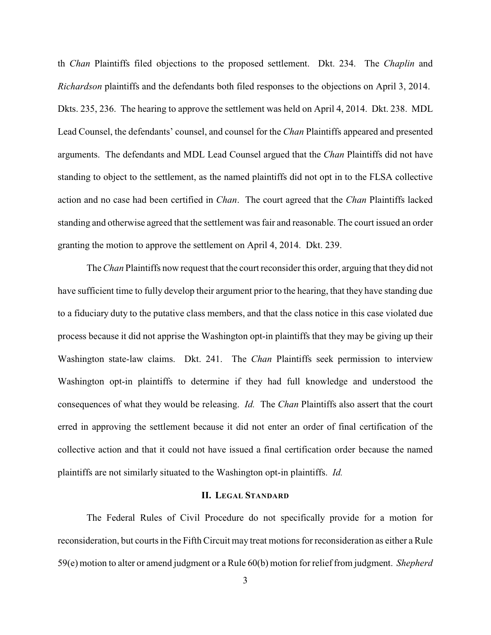th *Chan* Plaintiffs filed objections to the proposed settlement. Dkt. 234. The *Chaplin* and *Richardson* plaintiffs and the defendants both filed responses to the objections on April 3, 2014. Dkts. 235, 236. The hearing to approve the settlement was held on April 4, 2014. Dkt. 238. MDL Lead Counsel, the defendants' counsel, and counsel for the *Chan* Plaintiffs appeared and presented arguments. The defendants and MDL Lead Counsel argued that the *Chan* Plaintiffs did not have standing to object to the settlement, as the named plaintiffs did not opt in to the FLSA collective action and no case had been certified in *Chan*. The court agreed that the *Chan* Plaintiffs lacked standing and otherwise agreed that the settlement was fair and reasonable. The court issued an order granting the motion to approve the settlement on April 4, 2014. Dkt. 239.

The *Chan* Plaintiffs now request that the court reconsider this order, arguing that they did not have sufficient time to fully develop their argument prior to the hearing, that they have standing due to a fiduciary duty to the putative class members, and that the class notice in this case violated due process because it did not apprise the Washington opt-in plaintiffs that they may be giving up their Washington state-law claims. Dkt. 241. The *Chan* Plaintiffs seek permission to interview Washington opt-in plaintiffs to determine if they had full knowledge and understood the consequences of what they would be releasing. *Id.* The *Chan* Plaintiffs also assert that the court erred in approving the settlement because it did not enter an order of final certification of the collective action and that it could not have issued a final certification order because the named plaintiffs are not similarly situated to the Washington opt-in plaintiffs. *Id.*

## **II. LEGAL STANDARD**

The Federal Rules of Civil Procedure do not specifically provide for a motion for reconsideration, but courts in the Fifth Circuit may treat motions for reconsideration as either a Rule 59(e) motion to alter or amend judgment or a Rule 60(b) motion for relieffrom judgment. *Shepherd*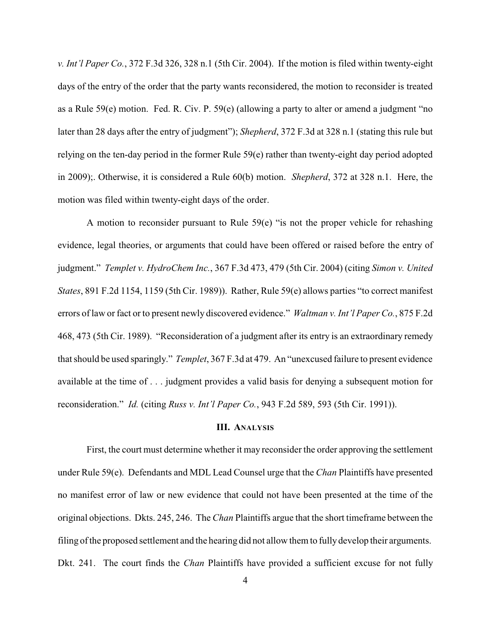*v. Int'l Paper Co.*, 372 F.3d 326, 328 n.1 (5th Cir. 2004). If the motion is filed within twenty-eight days of the entry of the order that the party wants reconsidered, the motion to reconsider is treated as a Rule 59(e) motion. Fed. R. Civ. P. 59(e) (allowing a party to alter or amend a judgment "no later than 28 days after the entry of judgment"); *Shepherd*, 372 F.3d at 328 n.1 (stating this rule but relying on the ten-day period in the former Rule 59(e) rather than twenty-eight day period adopted in 2009);. Otherwise, it is considered a Rule 60(b) motion. *Shepherd*, 372 at 328 n.1. Here, the motion was filed within twenty-eight days of the order.

A motion to reconsider pursuant to Rule 59(e) "is not the proper vehicle for rehashing evidence, legal theories, or arguments that could have been offered or raised before the entry of judgment." *Templet v. HydroChem Inc.*, 367 F.3d 473, 479 (5th Cir. 2004) (citing *Simon v. United States*, 891 F.2d 1154, 1159 (5th Cir. 1989)). Rather, Rule 59(e) allows parties "to correct manifest errors of law or fact or to present newly discovered evidence." *Waltman v. Int'l Paper Co.*, 875 F.2d 468, 473 (5th Cir. 1989). "Reconsideration of a judgment after its entry is an extraordinary remedy that should be used sparingly." *Templet*, 367 F.3d at 479. An "unexcused failure to present evidence available at the time of . . . judgment provides a valid basis for denying a subsequent motion for reconsideration." *Id.* (citing *Russ v. Int'l Paper Co.*, 943 F.2d 589, 593 (5th Cir. 1991)).

#### **III. ANALYSIS**

First, the court must determine whether it may reconsider the order approving the settlement under Rule 59(e). Defendants and MDL Lead Counsel urge that the *Chan* Plaintiffs have presented no manifest error of law or new evidence that could not have been presented at the time of the original objections. Dkts. 245, 246. The *Chan* Plaintiffs argue that the short timeframe between the filing of the proposed settlement and the hearing did not allow them to fully develop their arguments. Dkt. 241. The court finds the *Chan* Plaintiffs have provided a sufficient excuse for not fully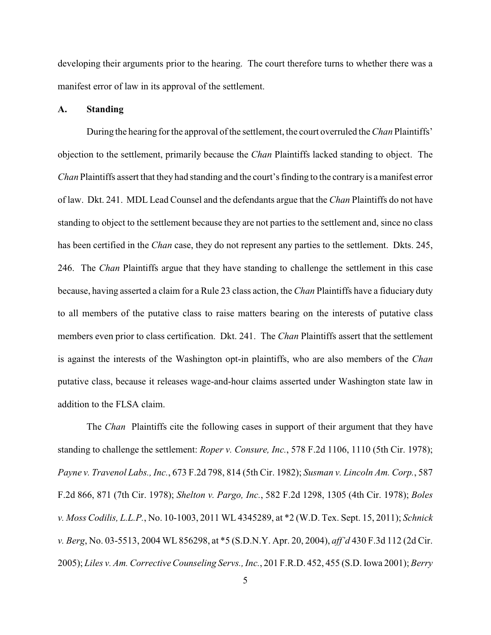developing their arguments prior to the hearing. The court therefore turns to whether there was a manifest error of law in its approval of the settlement.

## **A. Standing**

During the hearing for the approval of the settlement, the court overruled the *Chan* Plaintiffs' objection to the settlement, primarily because the *Chan* Plaintiffs lacked standing to object. The *Chan* Plaintiffs assert that they had standing and the court's finding to the contrary is a manifest error of law. Dkt. 241. MDL Lead Counsel and the defendants argue that the *Chan* Plaintiffs do not have standing to object to the settlement because they are not parties to the settlement and, since no class has been certified in the *Chan* case, they do not represent any parties to the settlement. Dkts. 245, 246. The *Chan* Plaintiffs argue that they have standing to challenge the settlement in this case because, having asserted a claim for a Rule 23 class action, the *Chan* Plaintiffs have a fiduciary duty to all members of the putative class to raise matters bearing on the interests of putative class members even prior to class certification. Dkt. 241. The *Chan* Plaintiffs assert that the settlement is against the interests of the Washington opt-in plaintiffs, who are also members of the *Chan* putative class, because it releases wage-and-hour claims asserted under Washington state law in addition to the FLSA claim.

The *Chan* Plaintiffs cite the following cases in support of their argument that they have standing to challenge the settlement: *Roper v. Consure, Inc.*, 578 F.2d 1106, 1110 (5th Cir. 1978); *Payne v. Travenol Labs., Inc.*, 673 F.2d 798, 814 (5th Cir. 1982); *Susman v. Lincoln Am. Corp.*, 587 F.2d 866, 871 (7th Cir. 1978); *Shelton v. Pargo, Inc.*, 582 F.2d 1298, 1305 (4th Cir. 1978); *Boles v. Moss Codilis, L.L.P.*, No. 10-1003, 2011 WL 4345289, at \*2 (W.D. Tex. Sept. 15, 2011); *Schnick v. Berg*, No. 03-5513, 2004 WL 856298, at \*5 (S.D.N.Y. Apr. 20, 2004), *aff'd* 430 F.3d 112 (2d Cir. 2005); *Liles v. Am. Corrective Counseling Servs., Inc.*, 201 F.R.D. 452, 455 (S.D. Iowa 2001); *Berry*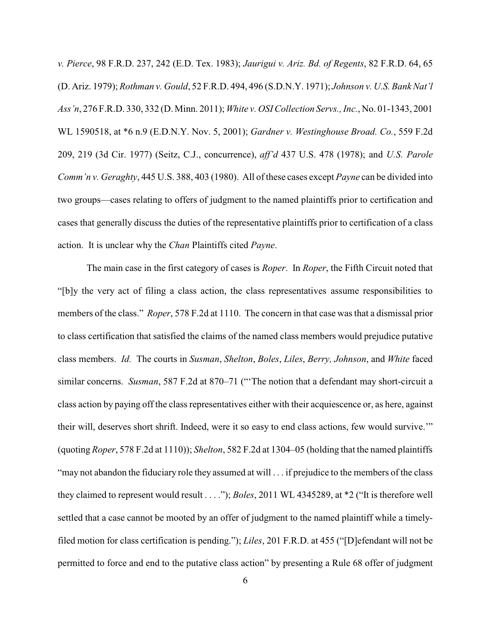*v. Pierce*, 98 F.R.D. 237, 242 (E.D. Tex. 1983); *Jaurigui v. Ariz. Bd. of Regents*, 82 F.R.D. 64, 65 (D. Ariz. 1979); *Rothman v. Gould*, 52 F.R.D. 494, 496 (S.D.N.Y. 1971); *Johnson v. U.S. Bank Nat'l Ass'n*, 276 F.R.D. 330, 332 (D. Minn. 2011); *White v. OSI Collection Servs., Inc.*, No. 01-1343, 2001 WL 1590518, at \*6 n.9 (E.D.N.Y. Nov. 5, 2001); *Gardner v. Westinghouse Broad. Co.*, 559 F.2d 209, 219 (3d Cir. 1977) (Seitz, C.J., concurrence), *aff'd* 437 U.S. 478 (1978); and *U.S. Parole Comm'n v. Geraghty*, 445 U.S. 388, 403 (1980). All of these cases except *Payne* can be divided into two groups—cases relating to offers of judgment to the named plaintiffs prior to certification and cases that generally discuss the duties of the representative plaintiffs prior to certification of a class action. It is unclear why the *Chan* Plaintiffs cited *Payne*.

The main case in the first category of cases is *Roper*. In *Roper*, the Fifth Circuit noted that "[b]y the very act of filing a class action, the class representatives assume responsibilities to members of the class." *Roper*, 578 F.2d at 1110. The concern in that case was that a dismissal prior to class certification that satisfied the claims of the named class members would prejudice putative class members. *Id.* The courts in *Susman*, *Shelton*, *Boles*, *Liles*, *Berry, Johnson*, and *White* faced similar concerns. *Susman*, 587 F.2d at 870–71 ("'The notion that a defendant may short-circuit a class action by paying off the class representatives either with their acquiescence or, as here, against their will, deserves short shrift. Indeed, were it so easy to end class actions, few would survive.'" (quoting *Roper*, 578 F.2d at 1110)); *Shelton*, 582 F.2d at 1304–05 (holding that the named plaintiffs "may not abandon the fiduciary role they assumed at will . . . if prejudice to the members of the class they claimed to represent would result . . . ."); *Boles*, 2011 WL 4345289, at \*2 ("It is therefore well settled that a case cannot be mooted by an offer of judgment to the named plaintiff while a timelyfiled motion for class certification is pending."); *Liles*, 201 F.R.D. at 455 ("[D]efendant will not be permitted to force and end to the putative class action" by presenting a Rule 68 offer of judgment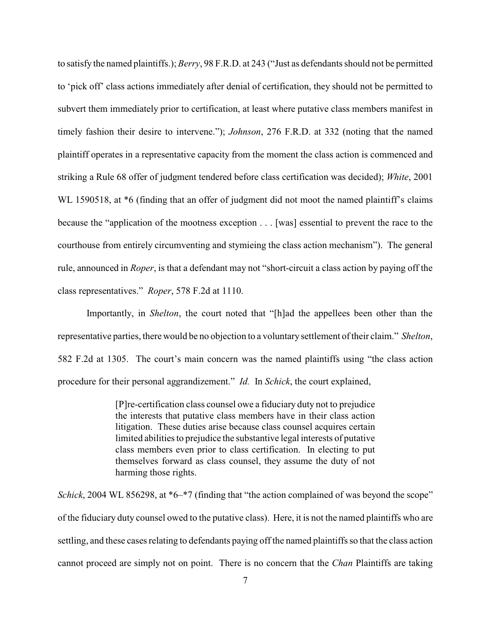to satisfy the named plaintiffs.); *Berry*, 98 F.R.D. at 243 ("Just as defendants should not be permitted to 'pick off' class actions immediately after denial of certification, they should not be permitted to subvert them immediately prior to certification, at least where putative class members manifest in timely fashion their desire to intervene."); *Johnson*, 276 F.R.D. at 332 (noting that the named plaintiff operates in a representative capacity from the moment the class action is commenced and striking a Rule 68 offer of judgment tendered before class certification was decided); *White*, 2001 WL 1590518, at  $*6$  (finding that an offer of judgment did not moot the named plaintiff's claims because the "application of the mootness exception . . . [was] essential to prevent the race to the courthouse from entirely circumventing and stymieing the class action mechanism"). The general rule, announced in *Roper*, is that a defendant may not "short-circuit a class action by paying off the class representatives." *Roper*, 578 F.2d at 1110.

Importantly, in *Shelton*, the court noted that "[h]ad the appellees been other than the representative parties, there would be no objection to a voluntary settlement of their claim." *Shelton*, 582 F.2d at 1305. The court's main concern was the named plaintiffs using "the class action procedure for their personal aggrandizement." *Id.* In *Schick*, the court explained,

> [P]re-certification class counsel owe a fiduciary duty not to prejudice the interests that putative class members have in their class action litigation. These duties arise because class counsel acquires certain limited abilities to prejudice the substantive legal interests of putative class members even prior to class certification. In electing to put themselves forward as class counsel, they assume the duty of not harming those rights.

*Schick*, 2004 WL 856298, at \*6–\*7 (finding that "the action complained of was beyond the scope" of the fiduciary duty counsel owed to the putative class). Here, it is not the named plaintiffs who are settling, and these cases relating to defendants paying off the named plaintiffs so that the class action cannot proceed are simply not on point. There is no concern that the *Chan* Plaintiffs are taking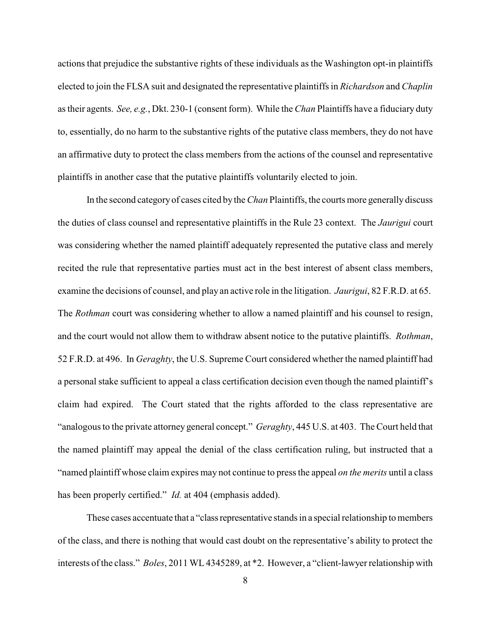actions that prejudice the substantive rights of these individuals as the Washington opt-in plaintiffs elected to join the FLSA suit and designated the representative plaintiffs in *Richardson* and *Chaplin* as their agents. *See, e.g.*, Dkt. 230-1 (consent form). While the *Chan* Plaintiffs have a fiduciary duty to, essentially, do no harm to the substantive rights of the putative class members, they do not have an affirmative duty to protect the class members from the actions of the counsel and representative plaintiffs in another case that the putative plaintiffs voluntarily elected to join.

In the second category of cases cited bythe *Chan* Plaintiffs, the courts more generally discuss the duties of class counsel and representative plaintiffs in the Rule 23 context. The *Jaurigui* court was considering whether the named plaintiff adequately represented the putative class and merely recited the rule that representative parties must act in the best interest of absent class members, examine the decisions of counsel, and play an active role in the litigation. *Jaurigui*, 82 F.R.D. at 65. The *Rothman* court was considering whether to allow a named plaintiff and his counsel to resign, and the court would not allow them to withdraw absent notice to the putative plaintiffs. *Rothman*, 52 F.R.D. at 496. In *Geraghty*, the U.S. Supreme Court considered whether the named plaintiff had a personal stake sufficient to appeal a class certification decision even though the named plaintiff's claim had expired. The Court stated that the rights afforded to the class representative are "analogous to the private attorney general concept." *Geraghty*, 445 U.S. at 403. The Court held that the named plaintiff may appeal the denial of the class certification ruling, but instructed that a "named plaintiff whose claim expires may not continue to press the appeal *on the merits* until a class has been properly certified." *Id.* at 404 (emphasis added).

These cases accentuate that a "class representative stands in a special relationship to members of the class, and there is nothing that would cast doubt on the representative's ability to protect the interests of the class." *Boles*, 2011 WL 4345289, at \*2. However, a "client-lawyer relationship with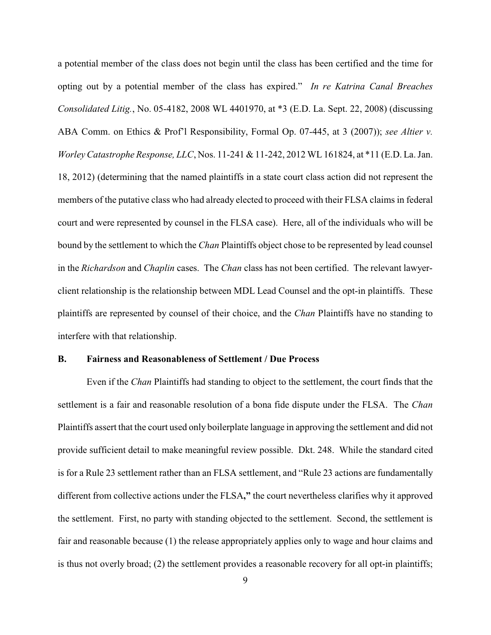a potential member of the class does not begin until the class has been certified and the time for opting out by a potential member of the class has expired." *In re Katrina Canal Breaches Consolidated Litig.*, No. 05-4182, 2008 WL 4401970, at \*3 (E.D. La. Sept. 22, 2008) (discussing ABA Comm. on Ethics & Prof'l Responsibility, Formal Op. 07-445, at 3 (2007)); *see Altier v. Worley Catastrophe Response, LLC*, Nos. 11-241 & 11-242, 2012 WL 161824, at \*11 (E.D. La. Jan. 18, 2012) (determining that the named plaintiffs in a state court class action did not represent the members of the putative class who had already elected to proceed with their FLSA claims in federal court and were represented by counsel in the FLSA case). Here, all of the individuals who will be bound by the settlement to which the *Chan* Plaintiffs object chose to be represented by lead counsel in the *Richardson* and *Chaplin* cases. The *Chan* class has not been certified. The relevant lawyerclient relationship is the relationship between MDL Lead Counsel and the opt-in plaintiffs. These plaintiffs are represented by counsel of their choice, and the *Chan* Plaintiffs have no standing to interfere with that relationship.

#### **B. Fairness and Reasonableness of Settlement / Due Process**

Even if the *Chan* Plaintiffs had standing to object to the settlement, the court finds that the settlement is a fair and reasonable resolution of a bona fide dispute under the FLSA. The *Chan* Plaintiffs assert that the court used only boilerplate language in approving the settlement and did not provide sufficient detail to make meaningful review possible. Dkt. 248. While the standard cited is for a Rule 23 settlement rather than an FLSA settlement, and "Rule 23 actions are fundamentally different from collective actions under the FLSA**,"** the court nevertheless clarifies why it approved the settlement. First, no party with standing objected to the settlement. Second, the settlement is fair and reasonable because (1) the release appropriately applies only to wage and hour claims and is thus not overly broad; (2) the settlement provides a reasonable recovery for all opt-in plaintiffs;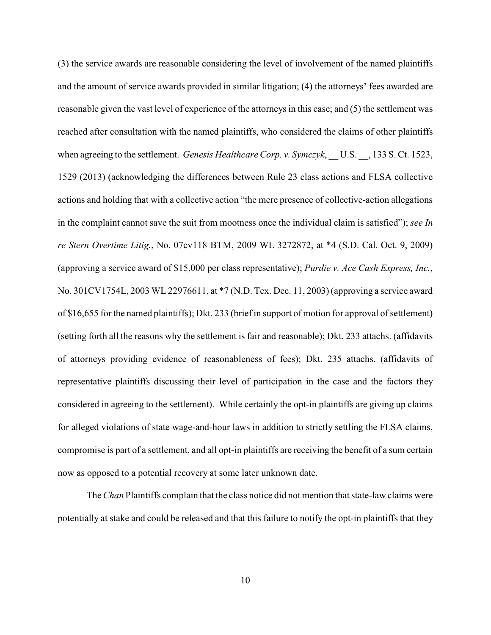(3) the service awards are reasonable considering the level of involvement of the named plaintiffs and the amount of service awards provided in similar litigation; (4) the attorneys' fees awarded are reasonable given the vast level of experience of the attorneys in this case; and (5) the settlement was reached after consultation with the named plaintiffs, who considered the claims of other plaintiffs when agreeing to the settlement. *Genesis Healthcare Corp. v. Symczyk*, U.S. , 133 S. Ct. 1523, 1529 (2013) (acknowledging the differences between Rule 23 class actions and FLSA collective actions and holding that with a collective action "the mere presence of collective-action allegations in the complaint cannot save the suit from mootness once the individual claim is satisfied"); *see In re Stern Overtime Litig.*, No. 07cv118 BTM, 2009 WL 3272872, at \*4 (S.D. Cal. Oct. 9, 2009) (approving a service award of \$15,000 per class representative); *Purdie v. Ace Cash Express, Inc.*, No. 301CV1754L, 2003 WL 22976611, at \*7 (N.D. Tex. Dec. 11, 2003) (approving a service award of \$16,655 for the named plaintiffs); Dkt. 233 (brief in support of motion for approval of settlement) (setting forth all the reasons why the settlement is fair and reasonable); Dkt. 233 attachs. (affidavits of attorneys providing evidence of reasonableness of fees); Dkt. 235 attachs. (affidavits of representative plaintiffs discussing their level of participation in the case and the factors they considered in agreeing to the settlement). While certainly the opt-in plaintiffs are giving up claims for alleged violations of state wage-and-hour laws in addition to strictly settling the FLSA claims, compromise is part of a settlement, and all opt-in plaintiffs are receiving the benefit of a sum certain now as opposed to a potential recovery at some later unknown date.

The *Chan* Plaintiffs complain that the class notice did not mention that state-law claims were potentially at stake and could be released and that this failure to notify the opt-in plaintiffs that they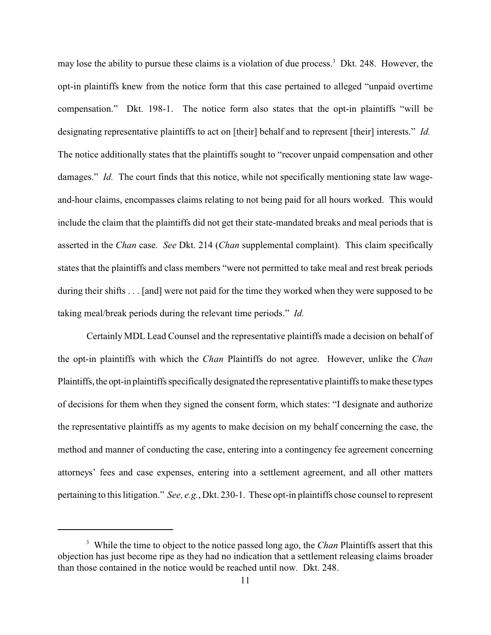may lose the ability to pursue these claims is a violation of due process.<sup>3</sup> Dkt. 248. However, the opt-in plaintiffs knew from the notice form that this case pertained to alleged "unpaid overtime compensation." Dkt. 198-1. The notice form also states that the opt-in plaintiffs "will be designating representative plaintiffs to act on [their] behalf and to represent [their] interests." *Id.* The notice additionally states that the plaintiffs sought to "recover unpaid compensation and other damages." *Id.* The court finds that this notice, while not specifically mentioning state law wageand-hour claims, encompasses claims relating to not being paid for all hours worked. This would include the claim that the plaintiffs did not get their state-mandated breaks and meal periods that is asserted in the *Chan* case. *See* Dkt. 214 (*Chan* supplemental complaint). This claim specifically states that the plaintiffs and class members "were not permitted to take meal and rest break periods during their shifts . . . [and] were not paid for the time they worked when they were supposed to be taking meal/break periods during the relevant time periods." *Id.*

Certainly MDL Lead Counsel and the representative plaintiffs made a decision on behalf of the opt-in plaintiffs with which the *Chan* Plaintiffs do not agree. However, unlike the *Chan* Plaintiffs, the opt-in plaintiffs specificallydesignated the representative plaintiffs to make these types of decisions for them when they signed the consent form, which states: "I designate and authorize the representative plaintiffs as my agents to make decision on my behalf concerning the case, the method and manner of conducting the case, entering into a contingency fee agreement concerning attorneys' fees and case expenses, entering into a settlement agreement, and all other matters pertaining to this litigation." *See, e.g.*, Dkt. 230-1. These opt-in plaintiffs chose counsel to represent

<sup>&</sup>lt;sup>3</sup> While the time to object to the notice passed long ago, the *Chan* Plaintiffs assert that this objection has just become ripe as they had no indication that a settlement releasing claims broader than those contained in the notice would be reached until now. Dkt. 248.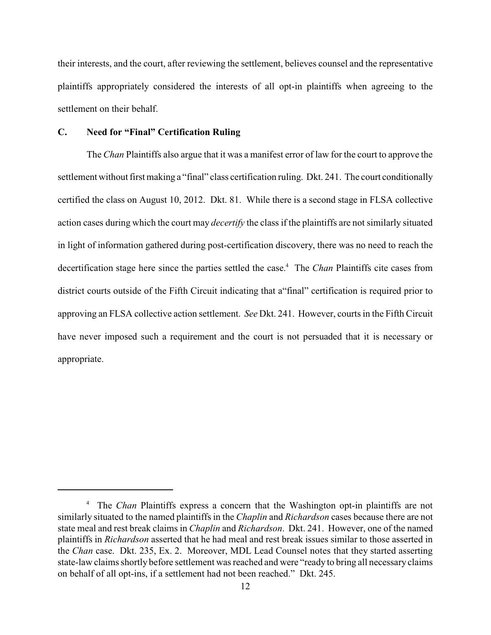their interests, and the court, after reviewing the settlement, believes counsel and the representative plaintiffs appropriately considered the interests of all opt-in plaintiffs when agreeing to the settlement on their behalf.

## **C. Need for "Final" Certification Ruling**

The *Chan* Plaintiffs also argue that it was a manifest error of law for the court to approve the settlement without first making a "final" class certification ruling. Dkt. 241. The court conditionally certified the class on August 10, 2012. Dkt. 81. While there is a second stage in FLSA collective action cases during which the court may *decertify* the class if the plaintiffs are not similarly situated in light of information gathered during post-certification discovery, there was no need to reach the decertification stage here since the parties settled the case.<sup>4</sup> The *Chan* Plaintiffs cite cases from district courts outside of the Fifth Circuit indicating that a"final" certification is required prior to approving an FLSA collective action settlement. *See* Dkt. 241. However, courts in the Fifth Circuit have never imposed such a requirement and the court is not persuaded that it is necessary or appropriate.

<sup>&</sup>lt;sup>4</sup> The *Chan* Plaintiffs express a concern that the Washington opt-in plaintiffs are not similarly situated to the named plaintiffs in the *Chaplin* and *Richardson* cases because there are not state meal and rest break claims in *Chaplin* and *Richardson*. Dkt. 241. However, one of the named plaintiffs in *Richardson* asserted that he had meal and rest break issues similar to those asserted in the *Chan* case. Dkt. 235, Ex. 2. Moreover, MDL Lead Counsel notes that they started asserting state-law claims shortly before settlement was reached and were "ready to bring all necessary claims on behalf of all opt-ins, if a settlement had not been reached." Dkt. 245.